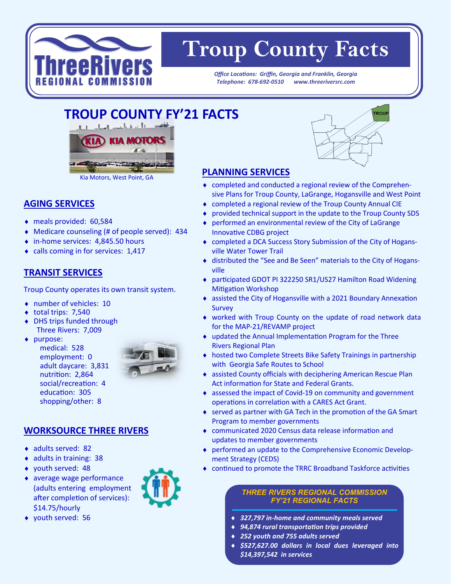

# **Troup County Facts**

*Office Locations: Griffin, Georgia and Franklin, Georgia Telephone: 678-692-0510 www.threeriversrc.com*

## **TROUP COUNTY FY'21 FACTS**



#### **AGING SERVICES**

- meals provided: 60,584
- Medicare counseling (# of people served): 434
- ◆ in-home services: 4,845.50 hours
- calls coming in for services: 1,417

#### **TRANSIT SERVICES**

Troup County operates its own transit system.

- number of vehicles: 10
- $\bullet$  total trips: 7,540
- DHS trips funded through Three Rivers: 7,009
- ◆ purpose:
	- medical: 528 employment: 0 adult daycare: 3,831 nutrition: 2,864 social/recreation: 4 education: 305 shopping/other: 8



#### **WORKSOURCE THREE RIVERS**

- ◆ adults served: 82
- ◆ adults in training: 38
- youth served: 48
- average wage performance (adults entering employment after completion of services): \$14.75/hourly
- youth served: 56



### **PLANNING SERVICES**

- completed and conducted a regional review of the Comprehensive Plans for Troup County, LaGrange, Hogansville and West Point
- completed a regional review of the Troup County Annual CIE
- provided technical support in the update to the Troup County SDS
- performed an environmental review of the City of LaGrange Innovative CDBG project
- completed a DCA Success Story Submission of the City of Hogansville Water Tower Trail
- distributed the "See and Be Seen" materials to the City of Hogansville
- participated GDOT PI 322250 SR1/US27 Hamilton Road Widening Mitigation Workshop
- assisted the City of Hogansville with a 2021 Boundary Annexation Survey
- worked with Troup County on the update of road network data for the MAP-21/REVAMP project
- updated the Annual Implementation Program for the Three Rivers Regional Plan
- hosted two Complete Streets Bike Safety Trainings in partnership with Georgia Safe Routes to School
- assisted County officials with deciphering American Rescue Plan Act information for State and Federal Grants.
- assessed the impact of Covid-19 on community and government operations in correlation with a CARES Act Grant.
- ◆ served as partner with GA Tech in the promotion of the GA Smart Program to member governments
- communicated 2020 Census data release information and updates to member governments
- performed an update to the Comprehensive Economic Development Strategy (CEDS)
- continued to promote the TRRC Broadband Taskforce activities

#### *THREE RIVERS REGIONAL COMMISSION FY'21 REGIONAL FACTS*

- *327,797 in-home and community meals served*
- *94,874 rural transportation trips provided*
- *252 youth and 755 adults served*
- *\$527,627.00 dollars in local dues leveraged into \$14,397,542 in services*